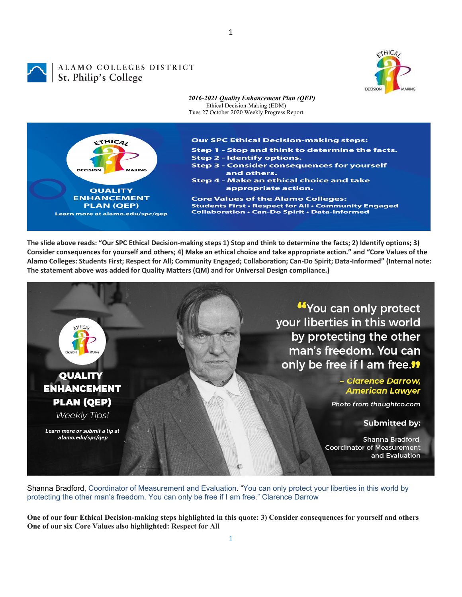

1

## ALAMO COLLEGES DISTRICT St. Philip's College



The slide above reads: "Our SPC Ethical Decision-making steps 1) Stop and think to determine the facts; 2) Identify options; 3) Consider consequences for yourself and others; 4) Make an ethical choice and take appropriate action." and "Core Values of the Alamo Colleges: Students First; Respect for All; Community Engaged; Collaboration; Can-Do Spirit; Data-Informed" (Internal note: **The statement above was added for Quality Matters (QM) and for Universal Design compliance.)**



Shanna Bradford, Coordinator of Measurement and Evaluation. "You can only protect your liberties in this world by protecting the other man's freedom. You can only be free if I am free." Clarence Darrow

**One of our four Ethical Decision-making steps highlighted in this quote: 3) Consider consequences for yourself and others One of our six Core Values also highlighted: Respect for All**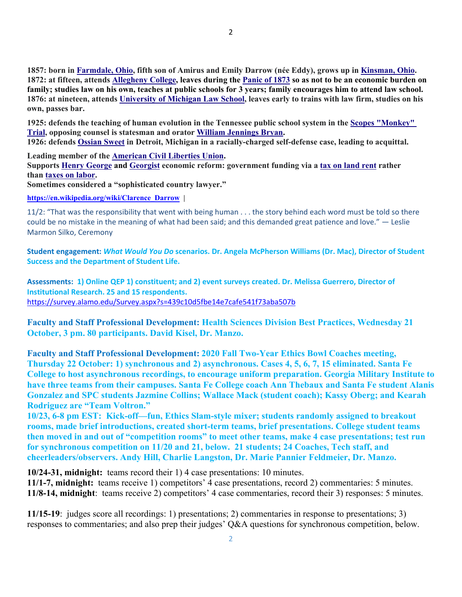**1857: born in Farmdale, Ohio, fifth son of Amirus and Emily Darrow (née Eddy), grows up in Kinsman, Ohio. 1872: at fifteen, attends Allegheny College, leaves during the Panic of 1873 so as not to be an economic burden on family; studies law on his own, teaches at public schools for 3 years; family encourages him to attend law school. 1876: at nineteen, attends University of Michigan Law School, leaves early to trains with law firm, studies on his own, passes bar.**

**1925: defends the teaching of human evolution in the Tennessee public school system in the Scopes "Monkey" Trial, opposing counsel is statesman and orator William Jennings Bryan.** 

**1926: defends Ossian Sweet in Detroit, Michigan in a racially-charged self-defense case, leading to acquittal.** 

**Leading member of the American Civil Liberties Union.** 

**Supports Henry George and Georgist economic reform: government funding via a tax on land rent rather than taxes on labor.** 

**Sometimes considered a "sophisticated country lawyer."** 

**https://en.wikipedia.org/wiki/Clarence\_Darrow |** 

11/2: "That was the responsibility that went with being human . . . the story behind each word must be told so there could be no mistake in the meaning of what had been said; and this demanded great patience and love." ― Leslie Marmon Silko, Ceremony

**Student engagement:** *What Would You Do* **scenarios. Dr. Angela McPherson Williams (Dr. Mac), Director of Student Success and the Department of Student Life.**

Assessments: 1) Online QEP 1) constituent; and 2) event surveys created. Dr. Melissa Guerrero, Director of **Institutional Research. 25 and 15 respondents.** https://survey.alamo.edu/Survey.aspx?s=439c10d5fbe14e7cafe541f73aba507b

**Faculty and Staff Professional Development: Health Sciences Division Best Practices, Wednesday 21 October, 3 pm. 80 participants. David Kisel, Dr. Manzo.** 

**Faculty and Staff Professional Development: 2020 Fall Two-Year Ethics Bowl Coaches meeting, Thursday 22 October: 1) synchronous and 2) asynchronous. Cases 4, 5, 6, 7, 15 eliminated. Santa Fe College to host asynchronous recordings, to encourage uniform preparation. Georgia Military Institute to have three teams from their campuses. Santa Fe College coach Ann Thebaux and Santa Fe student Alanis Gonzalez and SPC students Jazmine Collins; Wallace Mack (student coach); Kassy Oberg; and Kearah Rodriguez are "Team Voltron."** 

**10/23, 6-8 pm EST: Kick-off—fun, Ethics Slam-style mixer; students randomly assigned to breakout rooms, made brief introductions, created short-term teams, brief presentations. College student teams then moved in and out of "competition rooms" to meet other teams, make 4 case presentations; test run for synchronous competition on 11/20 and 21, below. 21 students; 24 Coaches, Tech staff, and cheerleaders/observers. Andy Hill, Charlie Langston, Dr. Marie Pannier Feldmeier, Dr. Manzo.** 

**10/24-31, midnight:** teams record their 1) 4 case presentations: 10 minutes. **11/1-7, midnight:** teams receive 1) competitors' 4 case presentations, record 2) commentaries: 5 minutes. **11/8-14, midnight**: teams receive 2) competitors' 4 case commentaries, record their 3) responses: 5 minutes.

**11/15-19**: judges score all recordings: 1) presentations; 2) commentaries in response to presentations; 3) responses to commentaries; and also prep their judges' Q&A questions for synchronous competition, below.